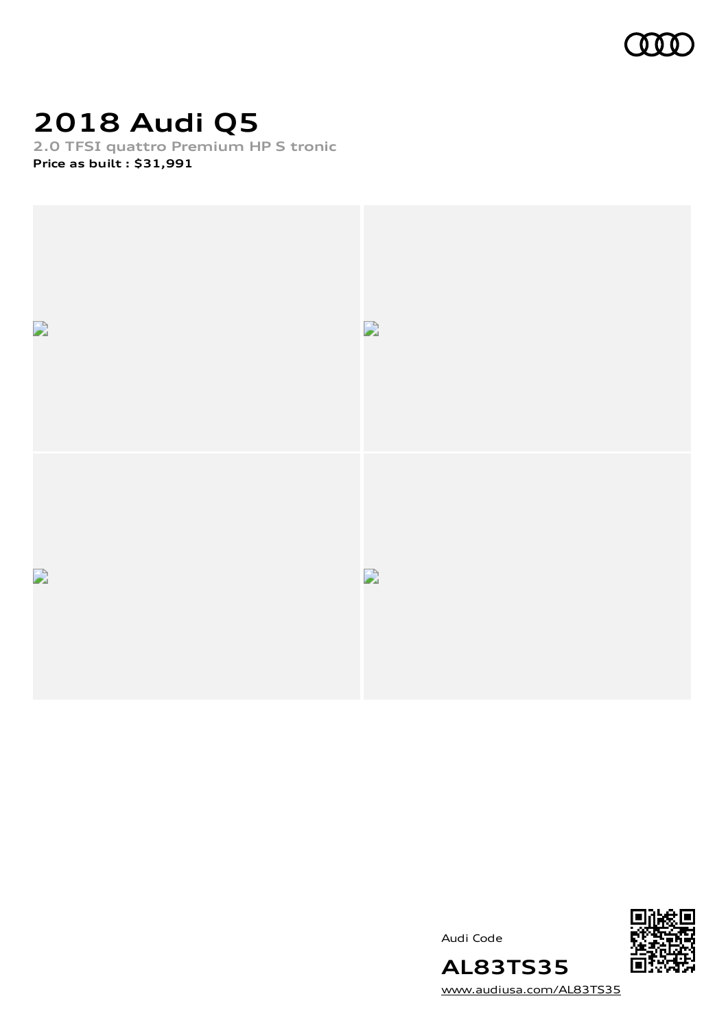

# **2018 Audi Q5**

**2.0 TFSI quattro Premium HP S tronic Price as built [:](#page-11-0) \$31,991**



Audi Code



[www.audiusa.com/AL83TS35](https://www.audiusa.com/AL83TS35)

**AL83TS35**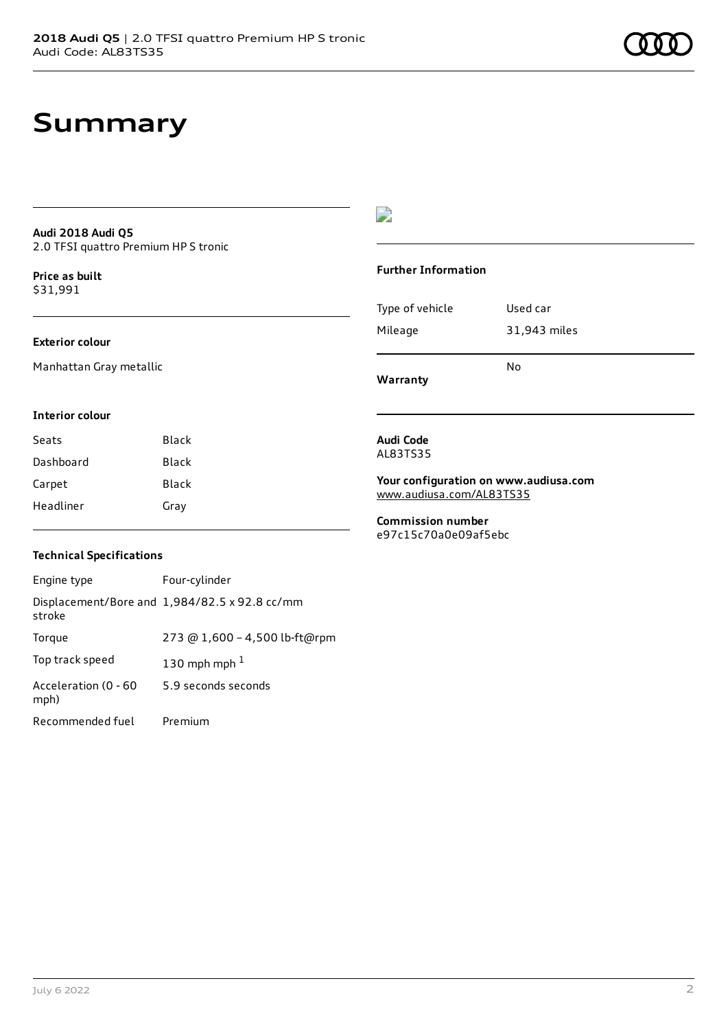### **Audi 2018 Audi Q5** 2.0 TFSI quattro Premium HP S tronic

**Price as buil[t](#page-11-0)** \$31,991

### **Exterior colour**

Manhattan Gray metallic

#### **Interior colour**

| Seats     | Black |
|-----------|-------|
| Dashboard | Black |
| Carpet    | Black |
| Headliner | Gray  |

### $\overline{\phantom{a}}$

### **Further Information**

|                 | N٥           |
|-----------------|--------------|
| Mileage         | 31,943 miles |
| Type of vehicle | Used car     |

**Warranty**

#### **Audi Code** AL83TS35

**Your configuration on www.audiusa.com** [www.audiusa.com/AL83TS35](https://www.audiusa.com/AL83TS35)

**Commission number** e97c15c70a0e09af5ebc

#### **Technical Specifications**

| Engine type                  | Four-cylinder                                 |
|------------------------------|-----------------------------------------------|
| stroke                       | Displacement/Bore and 1,984/82.5 x 92.8 cc/mm |
| Torque                       | 273 @ 1,600 - 4,500 lb-ft@rpm                 |
| Top track speed              | 130 mph mph $1$                               |
| Acceleration (0 - 60<br>mph) | 5.9 seconds seconds                           |
| Recommended fuel             | Premium                                       |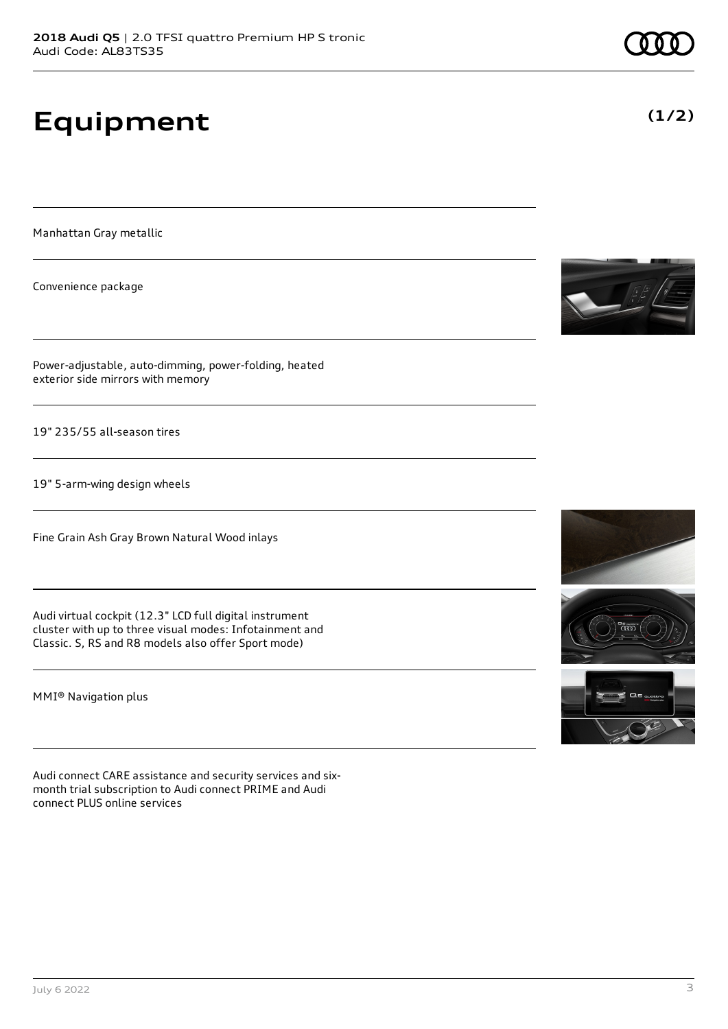# **Equipment**

Manhattan Gray metallic

Convenience package

Power-adjustable, auto-dimming, power-folding, heated exterior side mirrors with memory

19" 235/55 all-season tires

19" 5-arm-wing design wheels

Fine Grain Ash Gray Brown Natural Wood inlays

Audi virtual cockpit (12.3" LCD full digital instrument cluster with up to three visual modes: Infotainment and Classic. S, RS and R8 models also offer Sport mode)

MMI® Navigation plus

Audi connect CARE assistance and security services and sixmonth trial subscription to Audi connect PRIME and Audi connect PLUS online services







**(1/2)**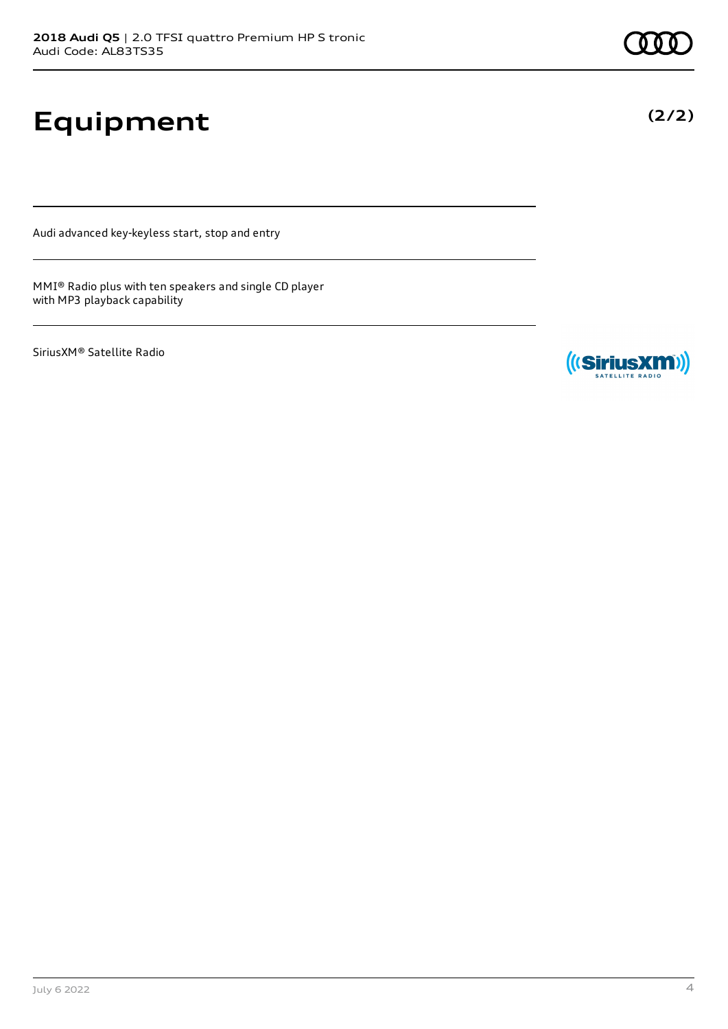# **Equipment**

Audi advanced key-keyless start, stop and entry

MMI® Radio plus with ten speakers and single CD player with MP3 playback capability

SiriusXM® Satellite Radio

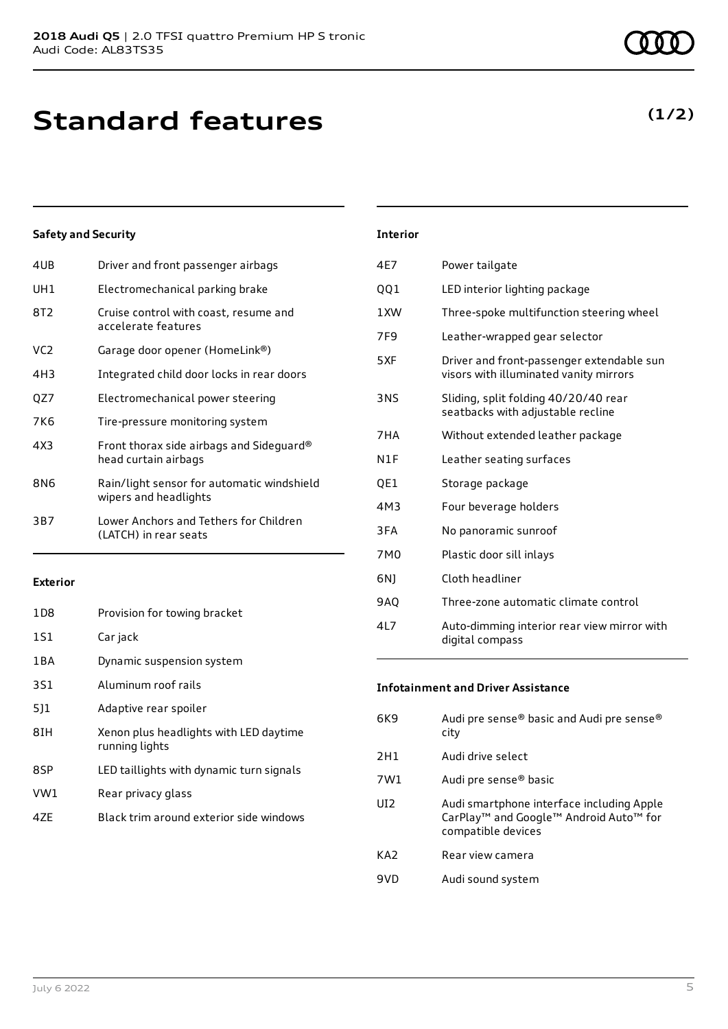### **Standard features**

### **Safety and Security**

| 4UB             | Driver and front passenger airbags                                  |
|-----------------|---------------------------------------------------------------------|
| UH1             | Electromechanical parking brake                                     |
| 8T2             | Cruise control with coast, resume and<br>accelerate features        |
| VC <sub>2</sub> | Garage door opener (HomeLink®)                                      |
| 4H3             | Integrated child door locks in rear doors                           |
| QZ7             | Electromechanical power steering                                    |
| 7K6             | Tire-pressure monitoring system                                     |
| 4X3             | Front thorax side airbags and Sideguard®<br>head curtain airbags    |
| 8N6             | Rain/light sensor for automatic windshield<br>wipers and headlights |
| 3B7             | Lower Anchors and Tethers for Children<br>(LATCH) in rear seats     |
|                 |                                                                     |

#### **Exterior**

| 1D <sub>8</sub> | Provision for towing bracket                             |
|-----------------|----------------------------------------------------------|
| 1S1             | Car jack                                                 |
| 1 B A           | Dynamic suspension system                                |
| 3S1             | Aluminum roof rails                                      |
| 511             | Adaptive rear spoiler                                    |
| 8IH             | Xenon plus headlights with LED daytime<br>running lights |
| 8SP             | LED taillights with dynamic turn signals                 |
| VW1             | Rear privacy glass                                       |
| 47F             | Black trim around exterior side windows                  |

### 4E7 Power tailgate QQ1 LED interior lighting package 1XW Three-spoke multifunction steering wheel 7F9 Leather-wrapped gear selector 5XF Driver and front-passenger extendable sun visors with illuminated vanity mirrors 3NS Sliding, split folding 40/20/40 rear seatbacks with adjustable recline 7HA Without extended leather package N1F Leather seating surfaces QE1 Storage package 4M3 Four beverage holders 3FA No panoramic sunroof 7M0 Plastic door sill inlays 6NJ Cloth headliner 9AQ Three-zone automatic climate control

**Interior**

4L7 Auto-dimming interior rear view mirror with digital compass

### **Infotainment and Driver Assistance**

| 6K9             | Audi pre sense® basic and Audi pre sense®<br>city                                                                                 |
|-----------------|-----------------------------------------------------------------------------------------------------------------------------------|
| 2H1             | Audi drive select                                                                                                                 |
| 7W1             | Audi pre sense® basic                                                                                                             |
| UI <sub>2</sub> | Audi smartphone interface including Apple<br>CarPlay <sup>™</sup> and Google™ Android Auto <sup>™</sup> for<br>compatible devices |
| KA <sub>2</sub> | Rear view camera                                                                                                                  |
| 9VD             | Audi sound system                                                                                                                 |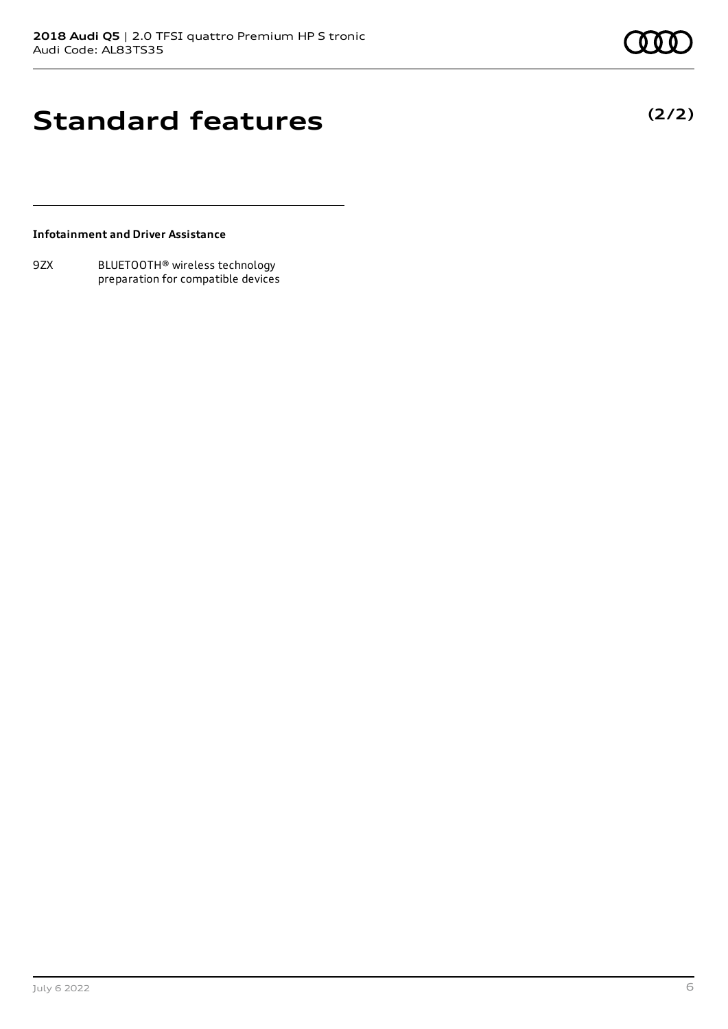**(2/2)**

### **Standard features**

**Infotainment and Driver Assistance**

9ZX BLUETOOTH® wireless technology preparation for compatible devices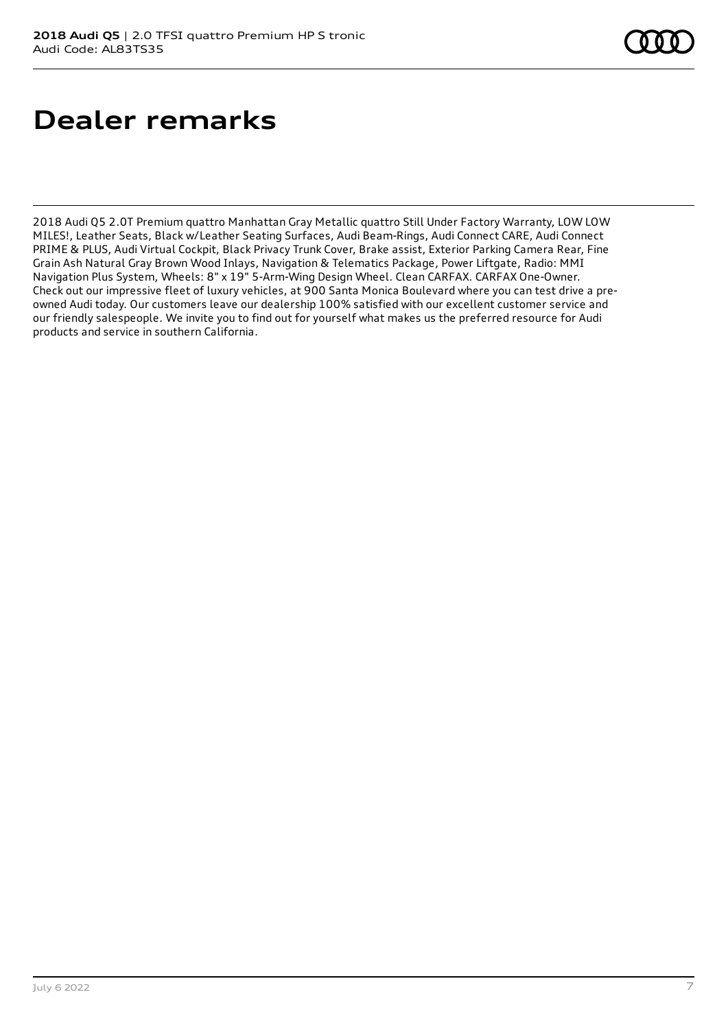## **Dealer remarks**

2018 Audi Q5 2.0T Premium quattro Manhattan Gray Metallic quattro Still Under Factory Warranty, LOW LOW MILES!, Leather Seats, Black w/Leather Seating Surfaces, Audi Beam-Rings, Audi Connect CARE, Audi Connect PRIME & PLUS, Audi Virtual Cockpit, Black Privacy Trunk Cover, Brake assist, Exterior Parking Camera Rear, Fine Grain Ash Natural Gray Brown Wood Inlays, Navigation & Telematics Package, Power Liftgate, Radio: MMI Navigation Plus System, Wheels: 8" x 19" 5-Arm-Wing Design Wheel. Clean CARFAX. CARFAX One-Owner. Check out our impressive fleet of luxury vehicles, at 900 Santa Monica Boulevard where you can test drive a preowned Audi today. Our customers leave our dealership 100% satisfied with our excellent customer service and our friendly salespeople. We invite you to find out for yourself what makes us the preferred resource for Audi products and service in southern California.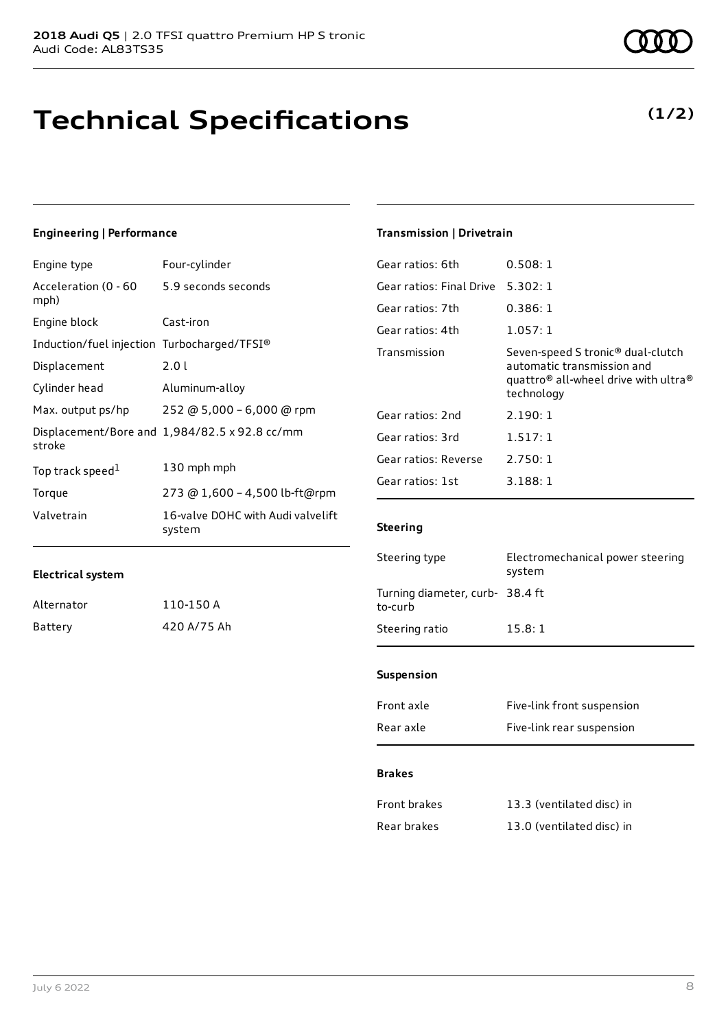## **Technical Specifications**

### **Engineering | Performance**

| Engine type                                 | Four-cylinder                                 |
|---------------------------------------------|-----------------------------------------------|
| Acceleration (0 - 60<br>mph)                | 5.9 seconds seconds                           |
| Engine block                                | Cast-iron                                     |
| Induction/fuel injection Turbocharged/TFSI® |                                               |
| Displacement                                | 2.0 L                                         |
| Cylinder head                               | Aluminum-alloy                                |
| Max. output ps/hp                           | 252 @ 5,000 - 6,000 @ rpm                     |
| stroke                                      | Displacement/Bore and 1,984/82.5 x 92.8 cc/mm |
| Top track speed <sup>1</sup>                | 130 mph mph                                   |
| Torque                                      | 273 @ 1,600 - 4,500 lb-ft@rpm                 |
| Valvetrain                                  | 16-valve DOHC with Audi valvelift<br>system   |

### **Transmission | Drivetrain**

| 0.508:1                                                                                                                                       |
|-----------------------------------------------------------------------------------------------------------------------------------------------|
| 5.302:1                                                                                                                                       |
| 0.386:1                                                                                                                                       |
| 1.057:1                                                                                                                                       |
| Seven-speed S tronic® dual-clutch<br>automatic transmission and<br>quattro <sup>®</sup> all-wheel drive with ultra <sup>®</sup><br>technology |
| 2.190:1                                                                                                                                       |
| 1.517:1                                                                                                                                       |
| 2.750:1                                                                                                                                       |
| 3.188:1                                                                                                                                       |
|                                                                                                                                               |

### **Steering**

| Steering type                              | Electromechanical power steering<br>system |
|--------------------------------------------|--------------------------------------------|
| Turning diameter, curb- 38.4 ft<br>to-curb |                                            |
| Steering ratio                             | 15.8:1                                     |
|                                            |                                            |

### **Suspension**

| Front axle | Five-link front suspension |
|------------|----------------------------|
| Rear axle  | Five-link rear suspension  |

#### **Brakes**

| Front brakes | 13.3 (ventilated disc) in |
|--------------|---------------------------|
| Rear brakes  | 13.0 (ventilated disc) in |

**Electrical system**

Alternator 110-150 A Battery 420 A/75 Ah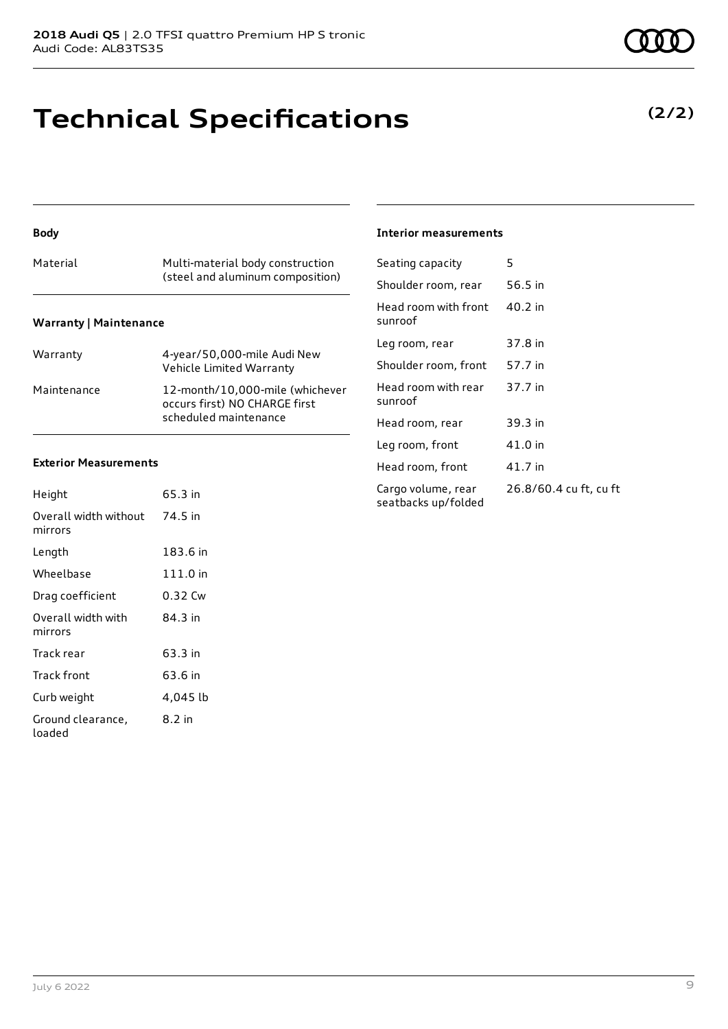# **Technical Specifications**

| Material                      | Multi-material body construction<br>(steel and aluminum composition)                      |
|-------------------------------|-------------------------------------------------------------------------------------------|
| <b>Warranty   Maintenance</b> |                                                                                           |
| Warranty                      | 4-year/50,000-mile Audi New<br>Vehicle Limited Warranty                                   |
| Maintenance                   | 12-month/10,000-mile (whichever<br>occurs first) NO CHARGE first<br>scheduled maintenance |

### **Exterior Measurements**

**Body**

| Height                           | 65.3 in  |
|----------------------------------|----------|
| Overall width without<br>mirrors | 74.5 in  |
| Length                           | 183.6 in |
| Wheelbase                        | 111.0 in |
| Drag coefficient                 | 0.32 Cw  |
| Overall width with<br>mirrors    | 84.3 in  |
| Track rear                       | 63.3 in  |
| Track front                      | 63.6 in  |
| Curb weight                      | 4,045 lb |
| Ground clearance,<br>loaded      | 8.2 in   |

#### **Interior measurements**

| Seating capacity                          | 5                      |
|-------------------------------------------|------------------------|
| Shoulder room, rear                       | 56.5 in                |
| Head room with front<br>sunroof           | $40.2$ in              |
| Leg room, rear                            | 37.8 in                |
| Shoulder room, front                      | 57.7 in                |
| Head room with rear<br>sunroof            | 37.7 in                |
| Head room, rear                           | 39.3 in                |
| Leg room, front                           | 41.0 in                |
| Head room, front                          | 41.7 in                |
| Cargo volume, rear<br>seatbacks up/folded | 26.8/60.4 cu ft, cu ft |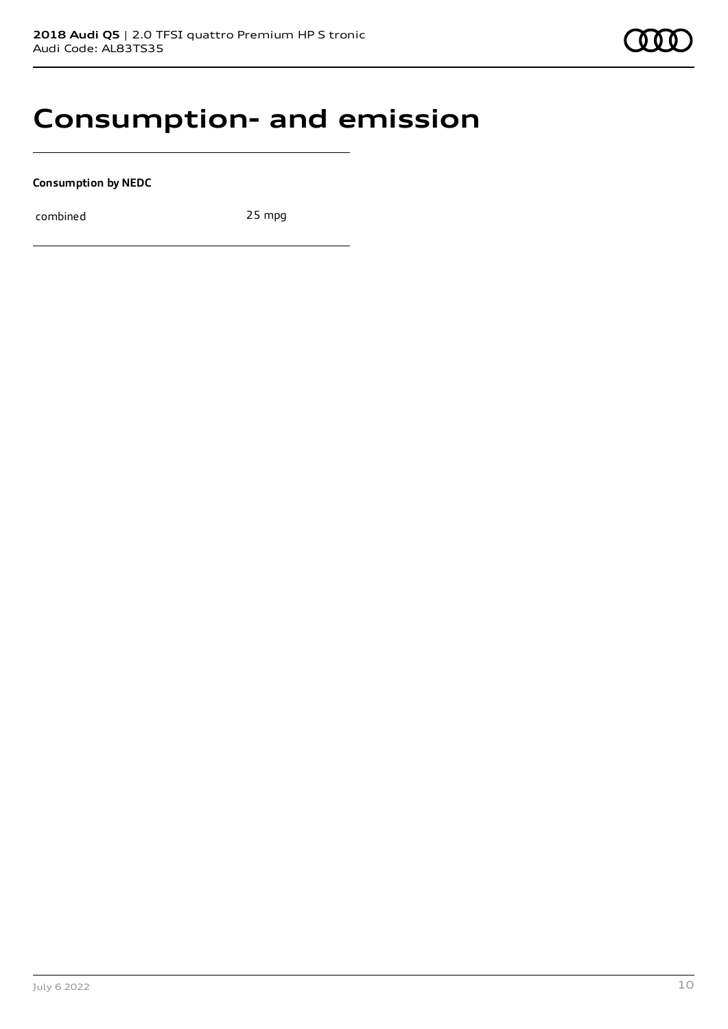### **Consumption- and emission**

**Consumption by NEDC**

combined 25 mpg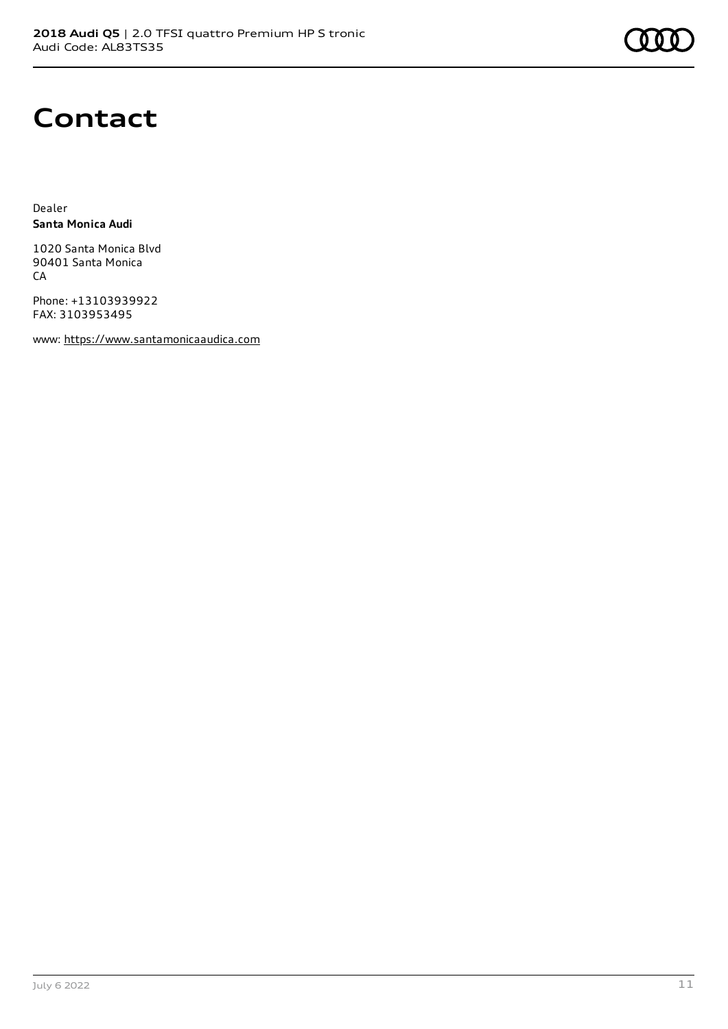

### **Contact**

Dealer **Santa Monica Audi**

1020 Santa Monica Blvd 90401 Santa Monica **CA** 

Phone: +13103939922 FAX: 3103953495

www: [https://www.santamonicaaudica.com](https://www.santamonicaaudica.com/)